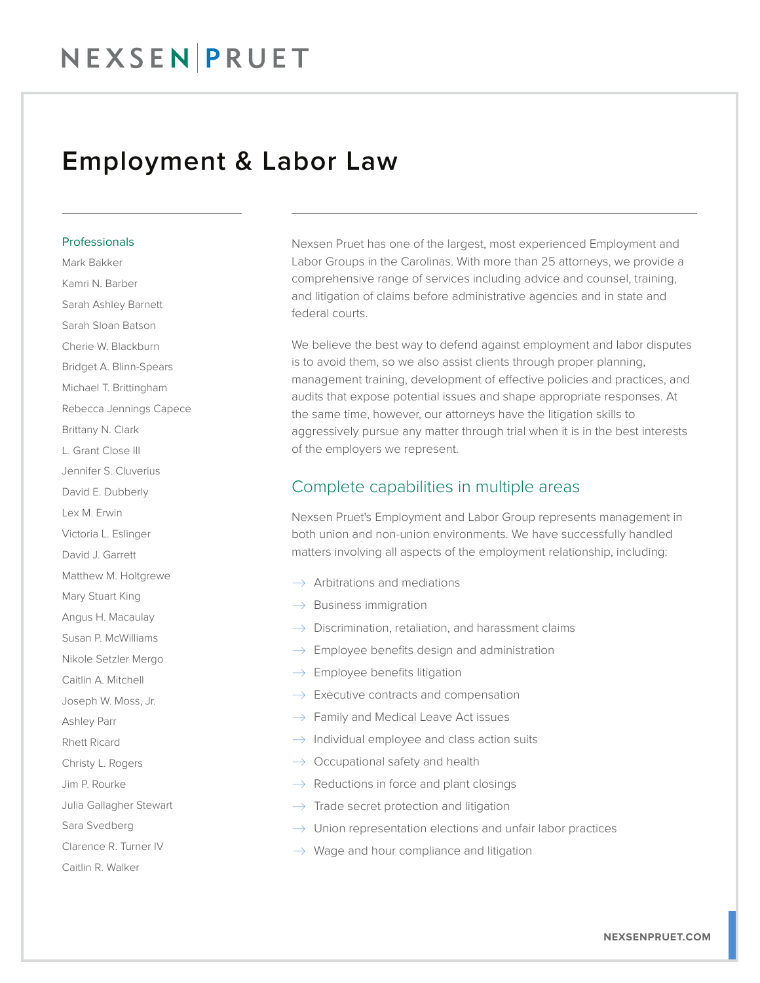#### Employment & Labor Law

#### Professionals

Mark Bakker Kamri N. Barber Sarah Ashley Barnett Sarah Sloan Batson Cherie W. Blackburn Bridget A. Blinn-Spears Michael T. Brittingham Rebecca Jennings Capece Brittany N. Clark L. Grant Close III Jennifer S. Cluverius David E. Dubberly Lex M. Erwin Victoria L. Eslinger David J. Garrett Matthew M. Holtgrewe Mary Stuart King Angus H. Macaulay Susan P. McWilliams Nikole Setzler Mergo Caitlin A. Mitchell Joseph W. Moss, Jr. Ashley Parr Rhett Ricard Christy L. Rogers Jim P. Rourke Julia Gallagher Stewart Sara Svedberg Clarence R. Turner IV Caitlin R. Walker

Nexsen Pruet has one of the largest, most experienced Employment and Labor Groups in the Carolinas. With more than 25 attorneys, we provide a comprehensive range of services including advice and counsel, training, and litigation of claims before administrative agencies and in state and federal courts.

We believe the best way to defend against employment and labor disputes is to avoid them, so we also assist clients through proper planning, management training, development of effective policies and practices, and audits that expose potential issues and shape appropriate responses. At the same time, however, our attorneys have the litigation skills to aggressively pursue any matter through trial when it is in the best interests of the employers we represent.

#### Complete capabilities in multiple areas

Nexsen Pruet's Employment and Labor Group represents management in both union and non-union environments. We have successfully handled matters involving all aspects of the employment relationship, including:

- $\rightarrow$  Arbitrations and mediations
- $\rightarrow$  Business immigration
- $\rightarrow$  Discrimination, retaliation, and harassment claims
- $\rightarrow$  Employee benefits design and administration
- $\rightarrow$  Employee benefits litigation
- $\rightarrow$  Executive contracts and compensation
- $\rightarrow$  Family and Medical Leave Act issues
- $\rightarrow$  Individual employee and class action suits
- $\rightarrow$  Occupational safety and health
- $\rightarrow$  Reductions in force and plant closings
- $\rightarrow$  Trade secret protection and litigation
- $\rightarrow$  Union representation elections and unfair labor practices
- $\rightarrow$  Wage and hour compliance and litigation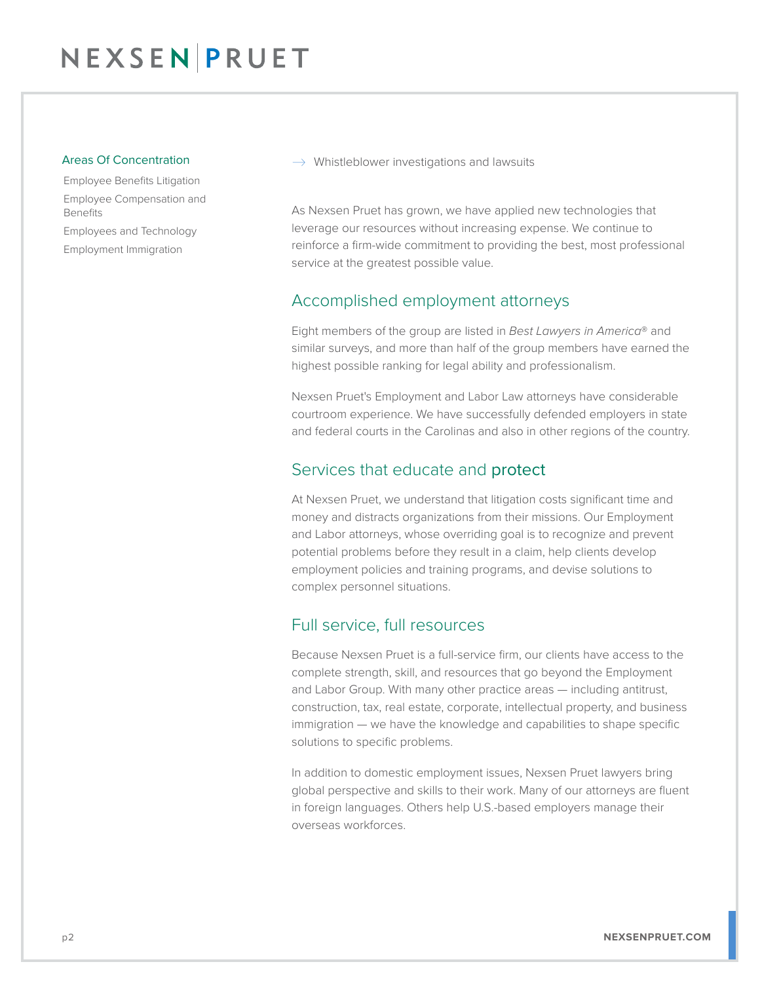#### Areas Of Concentration

Employee Benefits Litigation Employee Compensation and Benefits Employees and Technology Employment Immigration

 $\rightarrow$  Whistleblower investigations and lawsuits

As Nexsen Pruet has grown, we have applied new technologies that leverage our resources without increasing expense. We continue to reinforce a firm-wide commitment to providing the best, most professional service at the greatest possible value.

#### Accomplished employment attorneys

Eight members of the group are listed in *Best Lawyers in America*® and similar surveys, and more than half of the group members have earned the highest possible ranking for legal ability and professionalism.

Nexsen Pruet's Employment and Labor Law attorneys have considerable courtroom experience. We have successfully defended employers in state and federal courts in the Carolinas and also in other regions of the country.

#### Services that educate and protect

At Nexsen Pruet, we understand that litigation costs significant time and money and distracts organizations from their missions. Our Employment and Labor attorneys, whose overriding goal is to recognize and prevent potential problems before they result in a claim, help clients develop employment policies and training programs, and devise solutions to complex personnel situations.

#### Full service, full resources

Because Nexsen Pruet is a full-service firm, our clients have access to the complete strength, skill, and resources that go beyond the Employment and Labor Group. With many other practice areas — including antitrust, construction, tax, real estate, corporate, intellectual property, and business immigration — we have the knowledge and capabilities to shape specific solutions to specific problems.

In addition to domestic employment issues, Nexsen Pruet lawyers bring global perspective and skills to their work. Many of our attorneys are fluent in foreign languages. Others help U.S.-based employers manage their overseas workforces.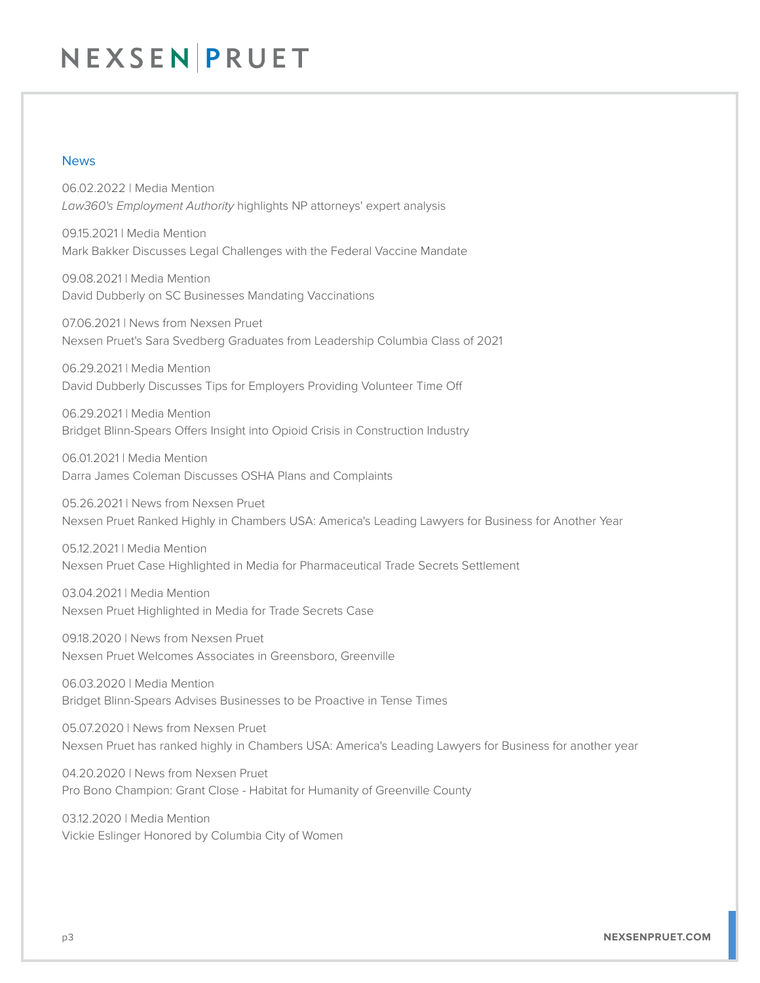#### News

06.02.2022 | Media Mention *Law360's Employment Authority* highlights NP attorneys' expert analysis

09.15.2021 | Media Mention Mark Bakker Discusses Legal Challenges with the Federal Vaccine Mandate

09.08.2021 | Media Mention David Dubberly on SC Businesses Mandating Vaccinations

07.06.2021 | News from Nexsen Pruet Nexsen Pruet's Sara Svedberg Graduates from Leadership Columbia Class of 2021

06.29.2021 | Media Mention David Dubberly Discusses Tips for Employers Providing Volunteer Time Off

06.29.2021 | Media Mention Bridget Blinn-Spears Offers Insight into Opioid Crisis in Construction Industry

06.01.2021 | Media Mention Darra James Coleman Discusses OSHA Plans and Complaints

05.26.2021 | News from Nexsen Pruet Nexsen Pruet Ranked Highly in Chambers USA: America's Leading Lawyers for Business for Another Year

05.12.2021 | Media Mention Nexsen Pruet Case Highlighted in Media for Pharmaceutical Trade Secrets Settlement

03.04.2021 | Media Mention Nexsen Pruet Highlighted in Media for Trade Secrets Case

09.18.2020 | News from Nexsen Pruet Nexsen Pruet Welcomes Associates in Greensboro, Greenville

06.03.2020 | Media Mention Bridget Blinn-Spears Advises Businesses to be Proactive in Tense Times

05.07.2020 | News from Nexsen Pruet Nexsen Pruet has ranked highly in Chambers USA: America's Leading Lawyers for Business for another year

04.20.2020 | News from Nexsen Pruet Pro Bono Champion: Grant Close - Habitat for Humanity of Greenville County

03.12.2020 | Media Mention Vickie Eslinger Honored by Columbia City of Women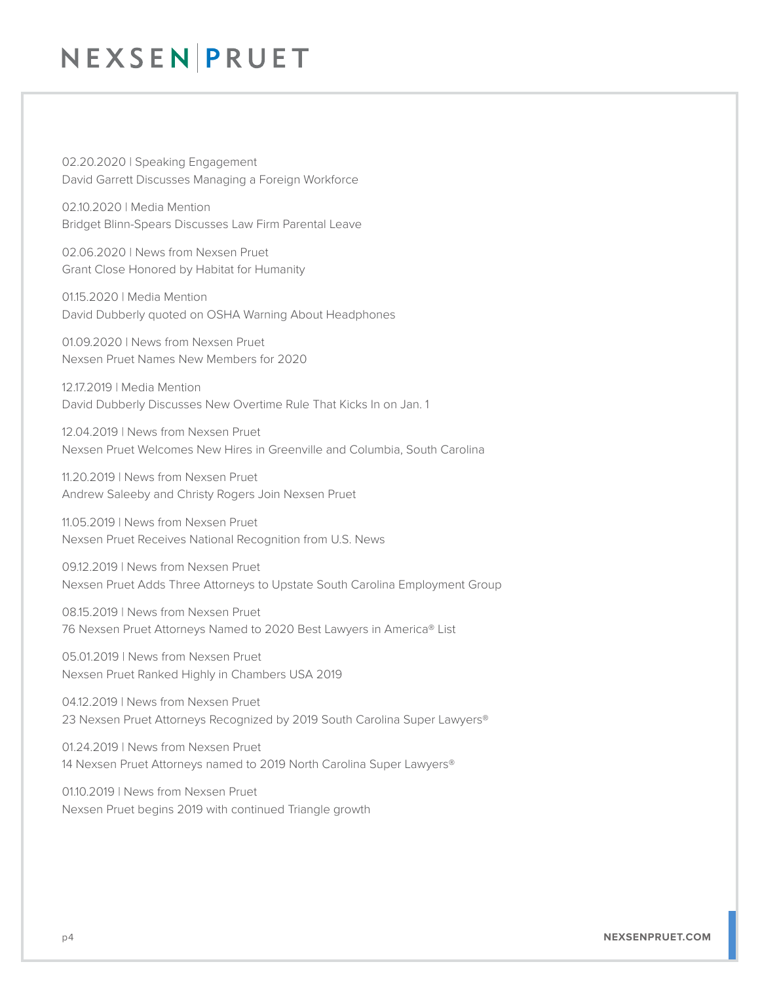02.20.2020 | Speaking Engagement David Garrett Discusses Managing a Foreign Workforce

02.10.2020 | Media Mention Bridget Blinn-Spears Discusses Law Firm Parental Leave

02.06.2020 | News from Nexsen Pruet Grant Close Honored by Habitat for Humanity

01.15.2020 | Media Mention David Dubberly quoted on OSHA Warning About Headphones

01.09.2020 | News from Nexsen Pruet Nexsen Pruet Names New Members for 2020

12.17.2019 | Media Mention David Dubberly Discusses New Overtime Rule That Kicks In on Jan. 1

12.04.2019 | News from Nexsen Pruet Nexsen Pruet Welcomes New Hires in Greenville and Columbia, South Carolina

11.20.2019 | News from Nexsen Pruet Andrew Saleeby and Christy Rogers Join Nexsen Pruet

11.05.2019 | News from Nexsen Pruet Nexsen Pruet Receives National Recognition from U.S. News

09.12.2019 | News from Nexsen Pruet Nexsen Pruet Adds Three Attorneys to Upstate South Carolina Employment Group

08.15.2019 | News from Nexsen Pruet 76 Nexsen Pruet Attorneys Named to 2020 Best Lawyers in America® List

05.01.2019 | News from Nexsen Pruet Nexsen Pruet Ranked Highly in Chambers USA 2019

04.12.2019 | News from Nexsen Pruet 23 Nexsen Pruet Attorneys Recognized by 2019 South Carolina Super Lawyers®

01.24.2019 | News from Nexsen Pruet 14 Nexsen Pruet Attorneys named to 2019 North Carolina Super Lawyers®

01.10.2019 | News from Nexsen Pruet Nexsen Pruet begins 2019 with continued Triangle growth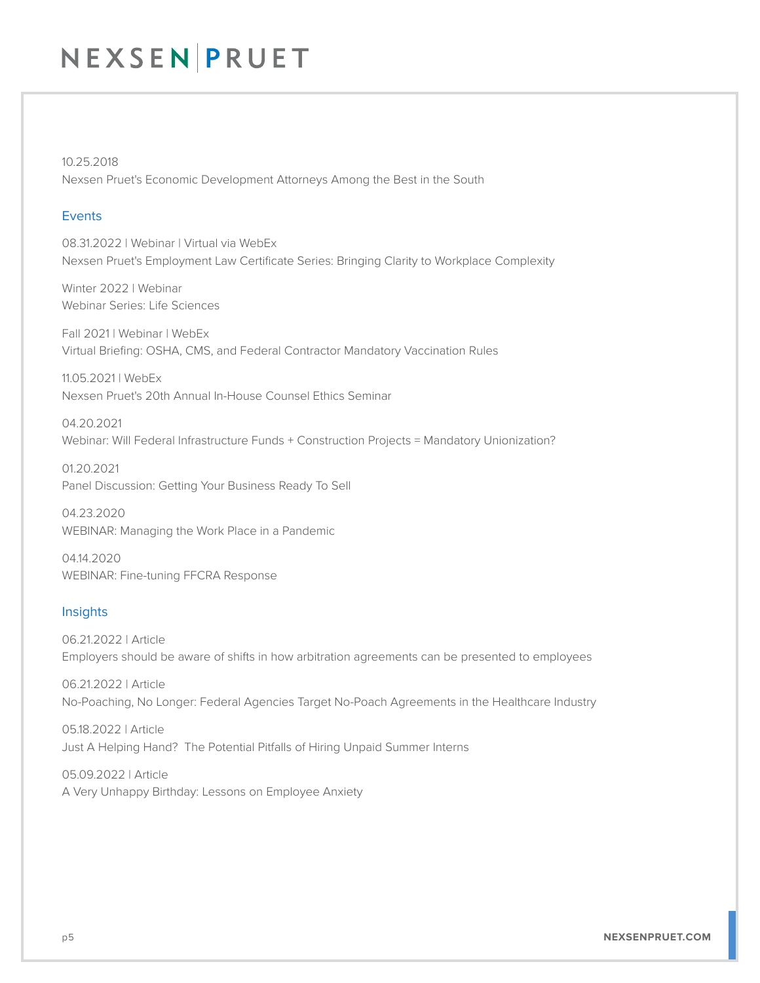10.25.2018 Nexsen Pruet's Economic Development Attorneys Among the Best in the South

#### Events

08.31.2022 | Webinar | Virtual via WebEx Nexsen Pruet's Employment Law Certificate Series: Bringing Clarity to Workplace Complexity

Winter 2022 | Webinar Webinar Series: Life Sciences

Fall 2021 | Webinar | WebEx Virtual Briefing: OSHA, CMS, and Federal Contractor Mandatory Vaccination Rules

11.05.2021 | WebEx Nexsen Pruet's 20th Annual In-House Counsel Ethics Seminar

04.20.2021 Webinar: Will Federal Infrastructure Funds + Construction Projects = Mandatory Unionization?

01.20.2021 Panel Discussion: Getting Your Business Ready To Sell

04.23.2020 WEBINAR: Managing the Work Place in a Pandemic

04.14.2020 WEBINAR: Fine-tuning FFCRA Response

#### Insights

06.21.2022 | Article Employers should be aware of shifts in how arbitration agreements can be presented to employees

06.21.2022 | Article No-Poaching, No Longer: Federal Agencies Target No-Poach Agreements in the Healthcare Industry

05.18.2022 | Article Just A Helping Hand? The Potential Pitfalls of Hiring Unpaid Summer Interns

05.09.2022 | Article A Very Unhappy Birthday: Lessons on Employee Anxiety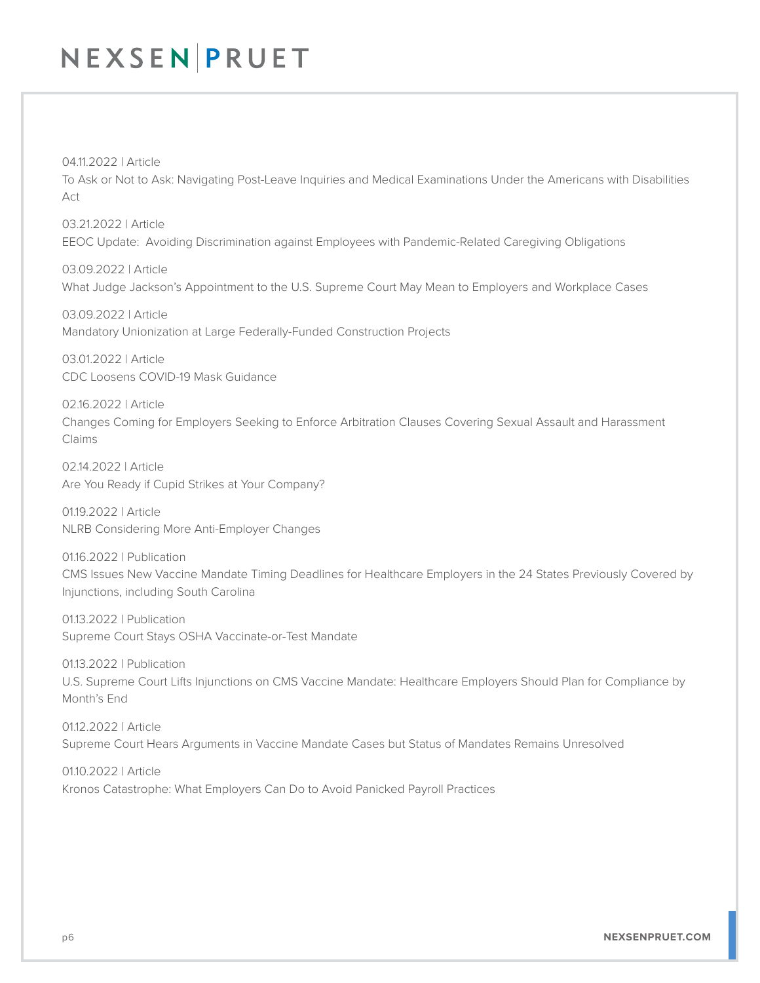04.11.2022 | Article To Ask or Not to Ask: Navigating Post-Leave Inquiries and Medical Examinations Under the Americans with Disabilities Act

03.21.2022 | Article EEOC Update: Avoiding Discrimination against Employees with Pandemic-Related Caregiving Obligations

03.09.2022 | Article What Judge Jackson's Appointment to the U.S. Supreme Court May Mean to Employers and Workplace Cases

03.09.2022 | Article Mandatory Unionization at Large Federally-Funded Construction Projects

03.01.2022 | Article CDC Loosens COVID-19 Mask Guidance

02.16.2022 | Article Changes Coming for Employers Seeking to Enforce Arbitration Clauses Covering Sexual Assault and Harassment Claims

02.14.2022 | Article Are You Ready if Cupid Strikes at Your Company?

01.19.2022 | Article NLRB Considering More Anti-Employer Changes

01.16.2022 | Publication CMS Issues New Vaccine Mandate Timing Deadlines for Healthcare Employers in the 24 States Previously Covered by Injunctions, including South Carolina

01.13.2022 | Publication Supreme Court Stays OSHA Vaccinate-or-Test Mandate

01.13.2022 | Publication U.S. Supreme Court Lifts Injunctions on CMS Vaccine Mandate: Healthcare Employers Should Plan for Compliance by Month's End

01.12.2022 | Article Supreme Court Hears Arguments in Vaccine Mandate Cases but Status of Mandates Remains Unresolved

01.10.2022 | Article Kronos Catastrophe: What Employers Can Do to Avoid Panicked Payroll Practices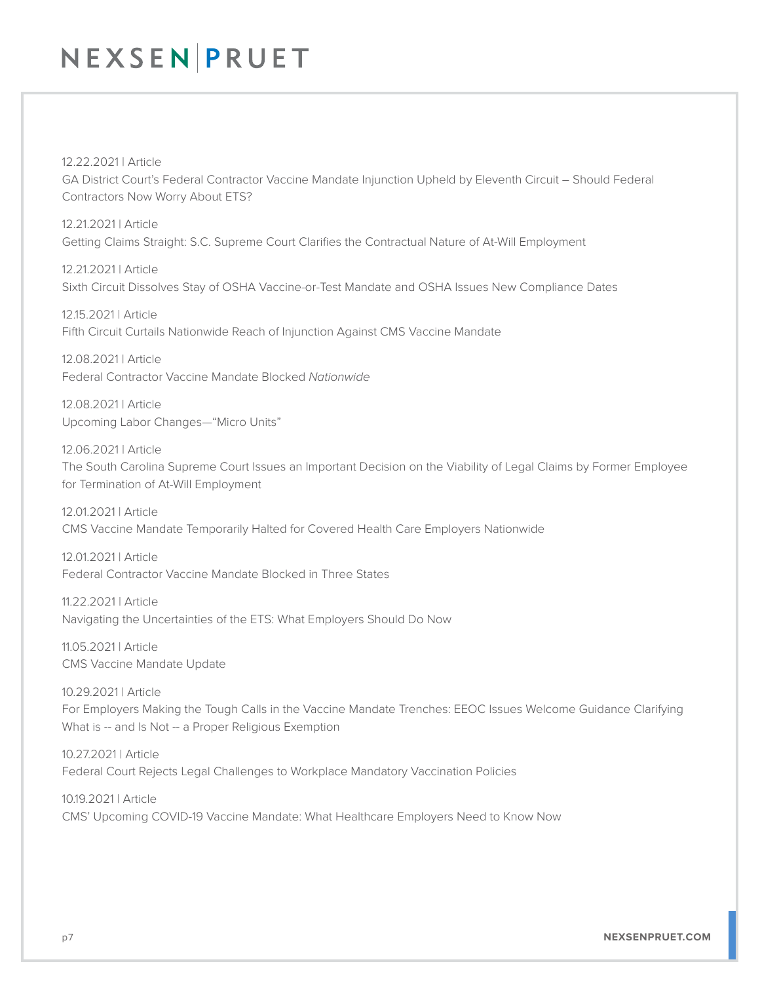12.22.2021 | Article

GA District Court's Federal Contractor Vaccine Mandate Injunction Upheld by Eleventh Circuit – Should Federal Contractors Now Worry About ETS?

12.21.2021 | Article Getting Claims Straight: S.C. Supreme Court Clarifies the Contractual Nature of At-Will Employment

12.21.2021 | Article Sixth Circuit Dissolves Stay of OSHA Vaccine-or-Test Mandate and OSHA Issues New Compliance Dates

12.15.2021 | Article Fifth Circuit Curtails Nationwide Reach of Injunction Against CMS Vaccine Mandate

12.08.2021 | Article Federal Contractor Vaccine Mandate Blocked *Nationwide*

12.08.2021 | Article Upcoming Labor Changes—"Micro Units"

12.06.2021 | Article The South Carolina Supreme Court Issues an Important Decision on the Viability of Legal Claims by Former Employee for Termination of At-Will Employment

12.01.2021 | Article CMS Vaccine Mandate Temporarily Halted for Covered Health Care Employers Nationwide

12.01.2021 | Article Federal Contractor Vaccine Mandate Blocked in Three States

11.22.2021 | Article Navigating the Uncertainties of the ETS: What Employers Should Do Now

11.05.2021 | Article CMS Vaccine Mandate Update

10.29.2021 | Article For Employers Making the Tough Calls in the Vaccine Mandate Trenches: EEOC Issues Welcome Guidance Clarifying What is -- and Is Not -- a Proper Religious Exemption

10.27.2021 | Article Federal Court Rejects Legal Challenges to Workplace Mandatory Vaccination Policies

10.19.2021 | Article CMS' Upcoming COVID-19 Vaccine Mandate: What Healthcare Employers Need to Know Now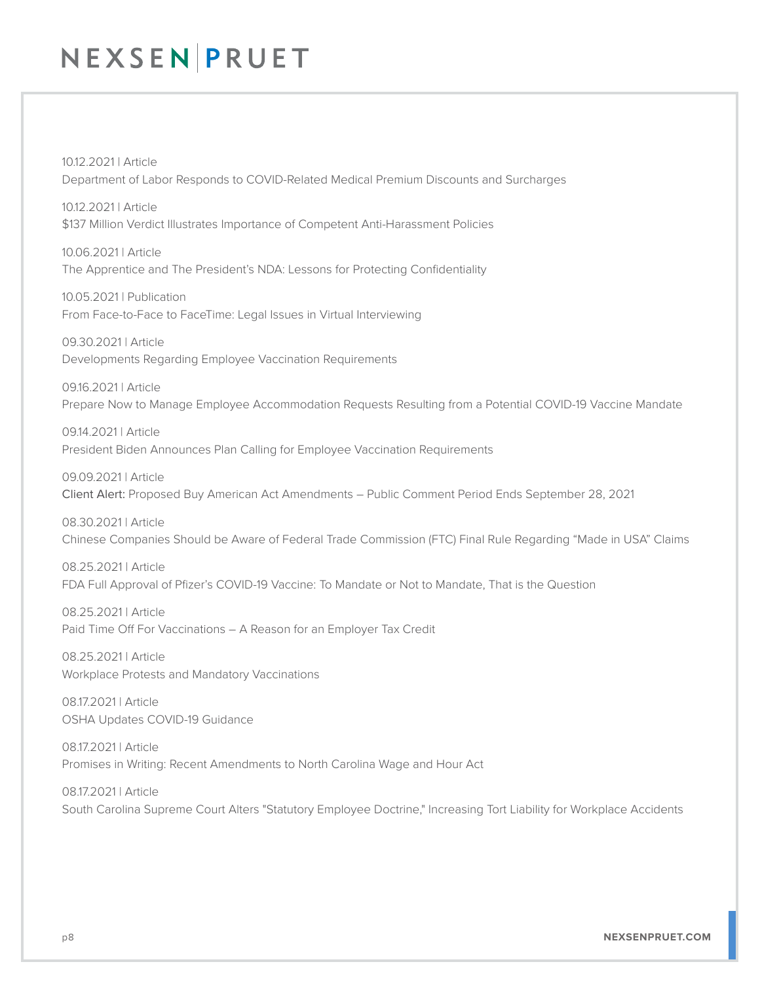10.12.2021 | Article Department of Labor Responds to COVID-Related Medical Premium Discounts and Surcharges

10.12.2021 | Article \$137 Million Verdict Illustrates Importance of Competent Anti-Harassment Policies

10.06.2021 | Article The Apprentice and The President's NDA: Lessons for Protecting Confidentiality

10.05.2021 | Publication From Face-to-Face to FaceTime: Legal Issues in Virtual Interviewing

09.30.2021 | Article Developments Regarding Employee Vaccination Requirements

09.16.2021 | Article Prepare Now to Manage Employee Accommodation Requests Resulting from a Potential COVID-19 Vaccine Mandate

09.14.2021 | Article President Biden Announces Plan Calling for Employee Vaccination Requirements

09.09.2021 | Article Client Alert: Proposed Buy American Act Amendments – Public Comment Period Ends September 28, 2021

08.30.2021 | Article Chinese Companies Should be Aware of Federal Trade Commission (FTC) Final Rule Regarding "Made in USA" Claims

08.25.2021 | Article FDA Full Approval of Pfizer's COVID-19 Vaccine: To Mandate or Not to Mandate, That is the Question

08.25.2021 | Article Paid Time Off For Vaccinations – A Reason for an Employer Tax Credit

08.25.2021 | Article Workplace Protests and Mandatory Vaccinations

08.17.2021 | Article OSHA Updates COVID-19 Guidance

08.17.2021 | Article Promises in Writing: Recent Amendments to North Carolina Wage and Hour Act

08.17.2021 | Article South Carolina Supreme Court Alters "Statutory Employee Doctrine," Increasing Tort Liability for Workplace Accidents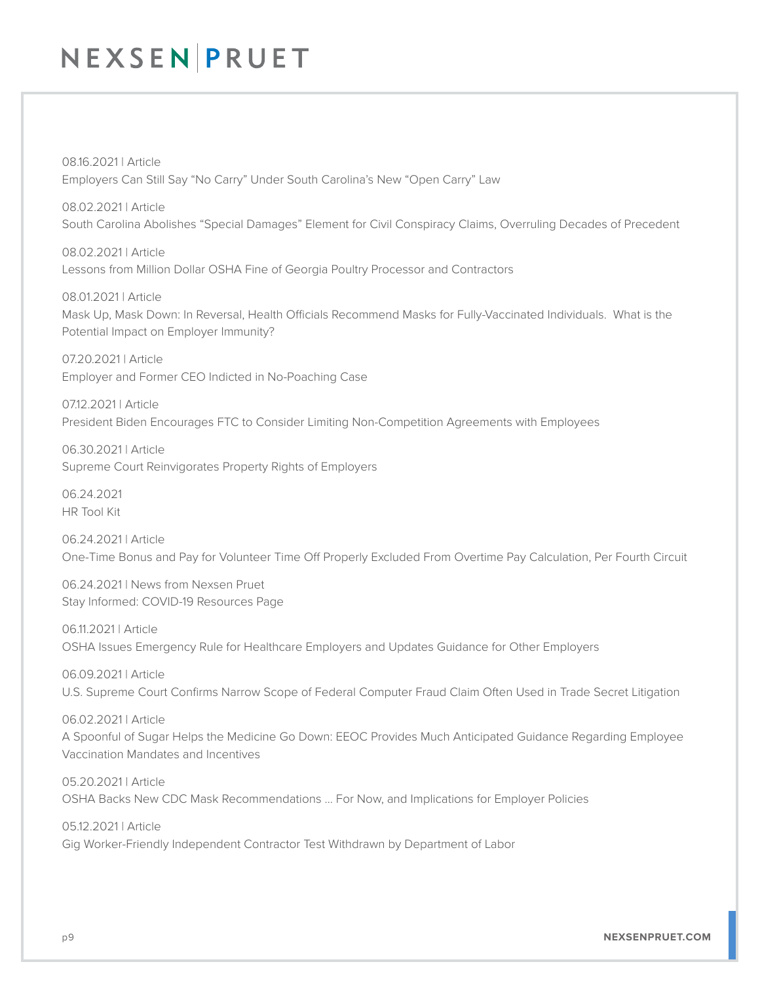08.16.2021 | Article Employers Can Still Say "No Carry" Under South Carolina's New "Open Carry" Law

08.02.2021 | Article South Carolina Abolishes "Special Damages" Element for Civil Conspiracy Claims, Overruling Decades of Precedent

08.02.2021 | Article Lessons from Million Dollar OSHA Fine of Georgia Poultry Processor and Contractors

08.01.2021 | Article Mask Up, Mask Down: In Reversal, Health Officials Recommend Masks for Fully-Vaccinated Individuals. What is the Potential Impact on Employer Immunity?

07.20.2021 | Article Employer and Former CEO Indicted in No-Poaching Case

07.12.2021 | Article President Biden Encourages FTC to Consider Limiting Non-Competition Agreements with Employees

06.30.2021 | Article Supreme Court Reinvigorates Property Rights of Employers

06.24.2021 HR Tool Kit

06.24.2021 | Article One-Time Bonus and Pay for Volunteer Time Off Properly Excluded From Overtime Pay Calculation, Per Fourth Circuit

06.24.2021 | News from Nexsen Pruet Stay Informed: COVID-19 Resources Page

06.11.2021 | Article OSHA Issues Emergency Rule for Healthcare Employers and Updates Guidance for Other Employers

06.09.2021 | Article U.S. Supreme Court Confirms Narrow Scope of Federal Computer Fraud Claim Often Used in Trade Secret Litigation

06.02.2021 | Article A Spoonful of Sugar Helps the Medicine Go Down: EEOC Provides Much Anticipated Guidance Regarding Employee Vaccination Mandates and Incentives

05.20.2021 | Article OSHA Backs New CDC Mask Recommendations … For Now, and Implications for Employer Policies

05.12.2021 | Article Gig Worker-Friendly Independent Contractor Test Withdrawn by Department of Labor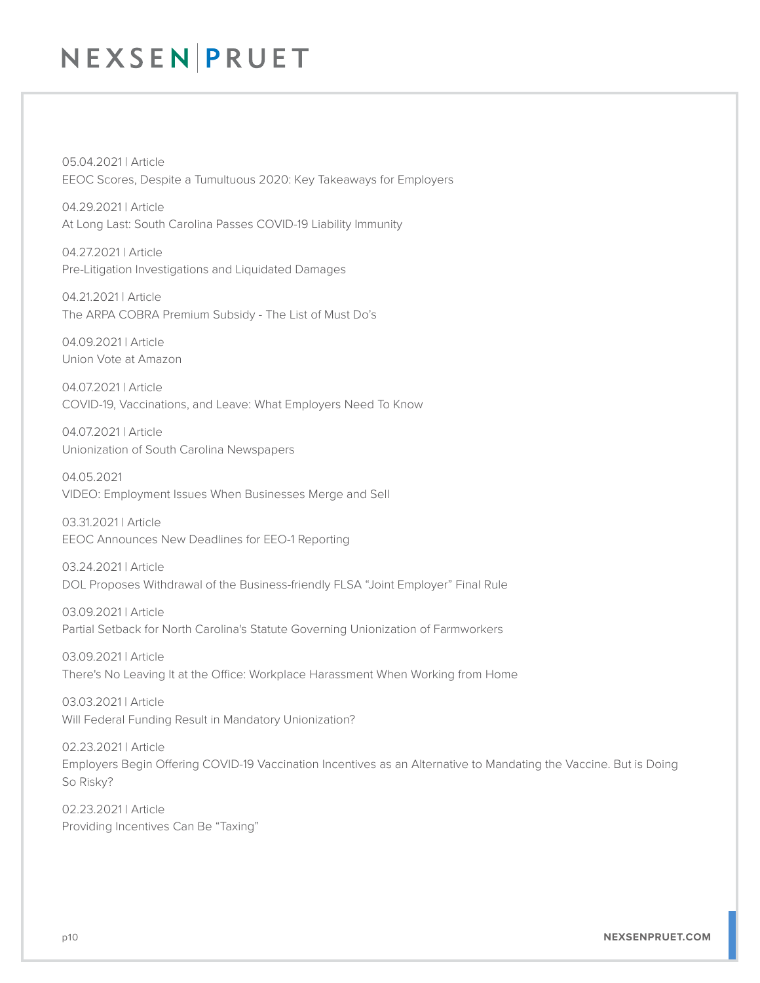05.04.2021 | Article EEOC Scores, Despite a Tumultuous 2020: Key Takeaways for Employers

04.29.2021 | Article At Long Last: South Carolina Passes COVID-19 Liability Immunity

04.27.2021 | Article Pre-Litigation Investigations and Liquidated Damages

04.21.2021 | Article The ARPA COBRA Premium Subsidy - The List of Must Do's

04.09.2021 | Article Union Vote at Amazon

04.07.2021 | Article COVID-19, Vaccinations, and Leave: What Employers Need To Know

04.07.2021 | Article Unionization of South Carolina Newspapers

04.05.2021 VIDEO: Employment Issues When Businesses Merge and Sell

03.31.2021 | Article EEOC Announces New Deadlines for EEO-1 Reporting

03.24.2021 | Article DOL Proposes Withdrawal of the Business-friendly FLSA "Joint Employer" Final Rule

03.09.2021 | Article Partial Setback for North Carolina's Statute Governing Unionization of Farmworkers

03.09.2021 | Article There's No Leaving It at the Office: Workplace Harassment When Working from Home

03.03.2021 | Article Will Federal Funding Result in Mandatory Unionization?

02.23.2021 | Article Employers Begin Offering COVID-19 Vaccination Incentives as an Alternative to Mandating the Vaccine. But is Doing So Risky?

02.23.2021 | Article Providing Incentives Can Be "Taxing"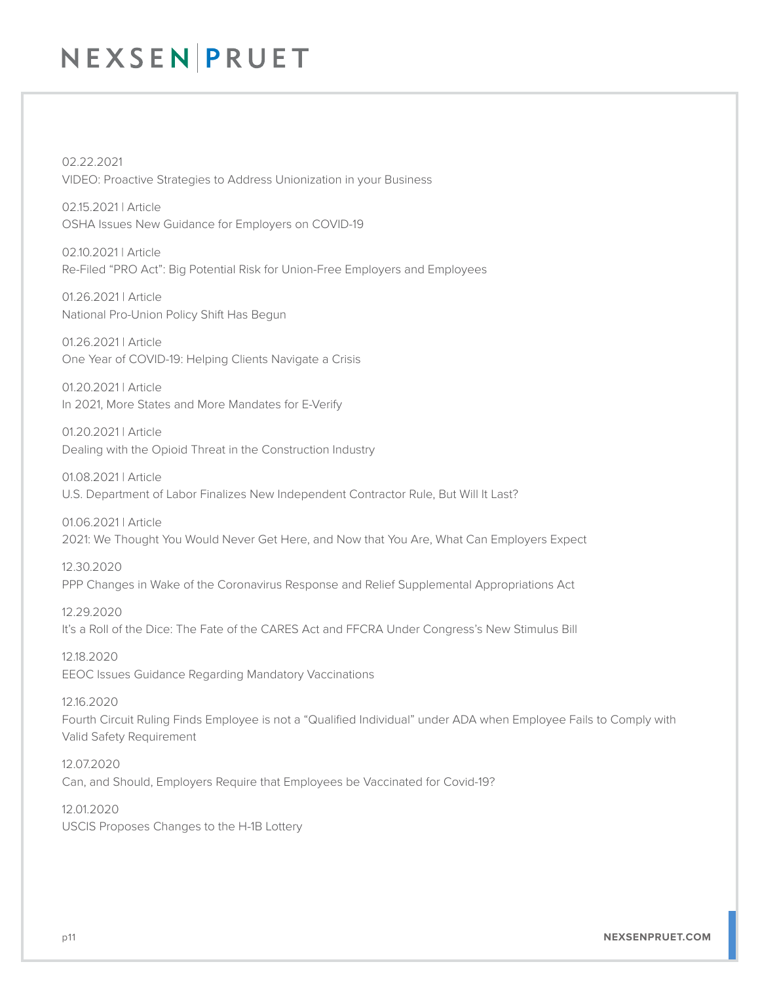02.22.2021 VIDEO: Proactive Strategies to Address Unionization in your Business

02.15.2021 | Article OSHA Issues New Guidance for Employers on COVID-19

02.10.2021 | Article Re-Filed "PRO Act": Big Potential Risk for Union-Free Employers and Employees

01.26.2021 | Article National Pro-Union Policy Shift Has Begun

01.26.2021 | Article One Year of COVID-19: Helping Clients Navigate a Crisis

01.20.2021 | Article In 2021, More States and More Mandates for E-Verify

01.20.2021 | Article Dealing with the Opioid Threat in the Construction Industry

01.08.2021 | Article U.S. Department of Labor Finalizes New Independent Contractor Rule, But Will It Last?

01.06.2021 | Article 2021: We Thought You Would Never Get Here, and Now that You Are, What Can Employers Expect

12.30.2020 PPP Changes in Wake of the Coronavirus Response and Relief Supplemental Appropriations Act

12.29.2020 It's a Roll of the Dice: The Fate of the CARES Act and FFCRA Under Congress's New Stimulus Bill

12.18.2020 EEOC Issues Guidance Regarding Mandatory Vaccinations

12.16.2020 Fourth Circuit Ruling Finds Employee is not a "Qualified Individual" under ADA when Employee Fails to Comply with Valid Safety Requirement

12.07.2020 Can, and Should, Employers Require that Employees be Vaccinated for Covid-19?

12.01.2020 USCIS Proposes Changes to the H-1B Lottery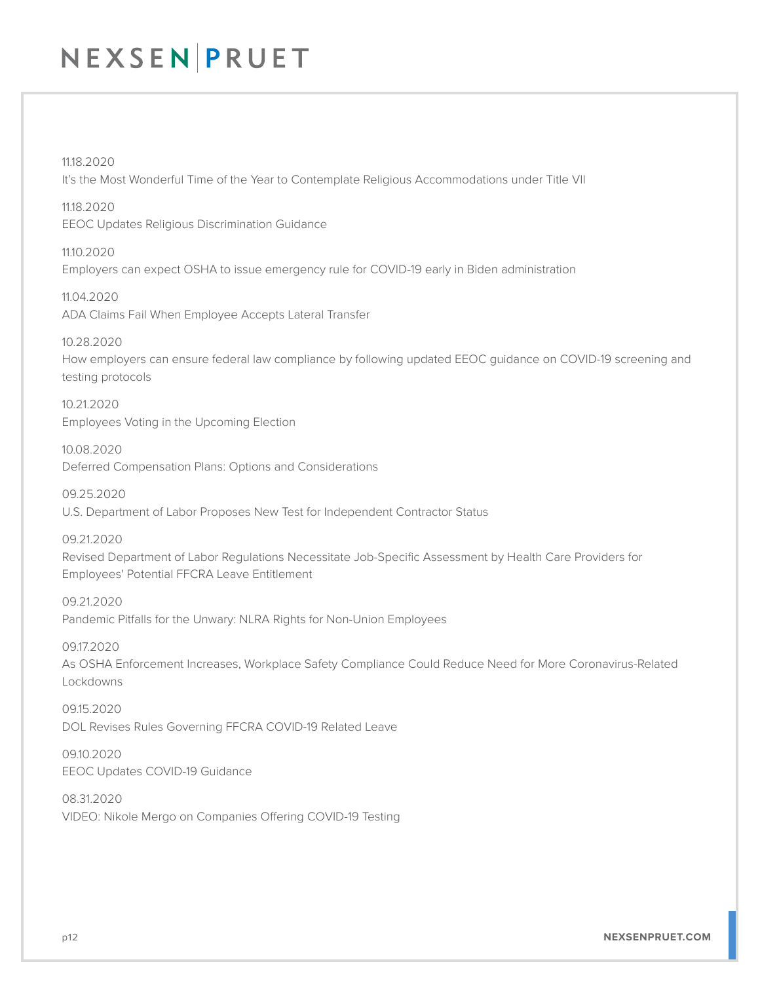11.18.2020 It's the Most Wonderful Time of the Year to Contemplate Religious Accommodations under Title VII

11.18.2020 EEOC Updates Religious Discrimination Guidance

11.10.2020 Employers can expect OSHA to issue emergency rule for COVID-19 early in Biden administration

11.04.2020 ADA Claims Fail When Employee Accepts Lateral Transfer

10.28.2020 How employers can ensure federal law compliance by following updated EEOC guidance on COVID-19 screening and testing protocols

10.21.2020 Employees Voting in the Upcoming Election

10.08.2020 Deferred Compensation Plans: Options and Considerations

09.25.2020 U.S. Department of Labor Proposes New Test for Independent Contractor Status

09.21.2020 Revised Department of Labor Regulations Necessitate Job-Specific Assessment by Health Care Providers for Employees' Potential FFCRA Leave Entitlement

09.21.2020 Pandemic Pitfalls for the Unwary: NLRA Rights for Non-Union Employees

09.17.2020 As OSHA Enforcement Increases, Workplace Safety Compliance Could Reduce Need for More Coronavirus-Related Lockdowns

09.15.2020 DOL Revises Rules Governing FFCRA COVID-19 Related Leave

09.10.2020 EEOC Updates COVID-19 Guidance

08.31.2020 VIDEO: Nikole Mergo on Companies Offering COVID-19 Testing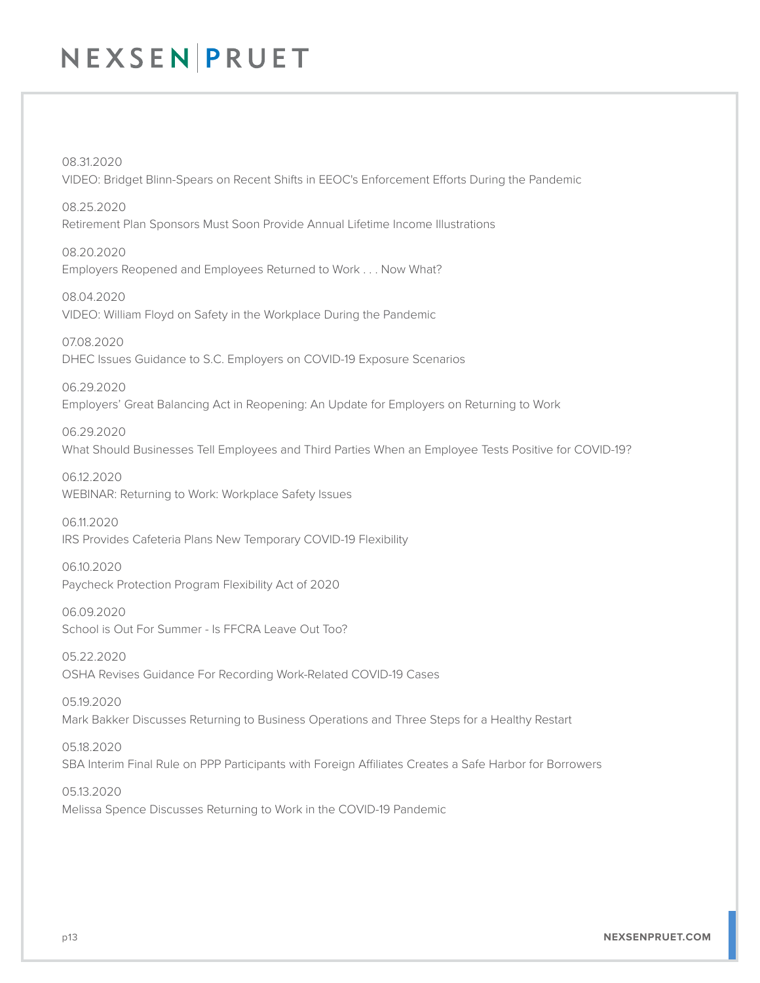08.31.2020 VIDEO: Bridget Blinn-Spears on Recent Shifts in EEOC's Enforcement Efforts During the Pandemic

08.25.2020 Retirement Plan Sponsors Must Soon Provide Annual Lifetime Income Illustrations

08.20.2020 Employers Reopened and Employees Returned to Work . . . Now What?

08.04.2020 VIDEO: William Floyd on Safety in the Workplace During the Pandemic

07.08.2020 DHEC Issues Guidance to S.C. Employers on COVID-19 Exposure Scenarios

06.29.2020 Employers' Great Balancing Act in Reopening: An Update for Employers on Returning to Work

06.29.2020 What Should Businesses Tell Employees and Third Parties When an Employee Tests Positive for COVID-19?

06.12.2020 WEBINAR: Returning to Work: Workplace Safety Issues

06.11.2020 IRS Provides Cafeteria Plans New Temporary COVID-19 Flexibility

06.10.2020 Paycheck Protection Program Flexibility Act of 2020

06.09.2020 School is Out For Summer - Is FFCRA Leave Out Too?

05.22.2020 OSHA Revises Guidance For Recording Work-Related COVID-19 Cases

05.19.2020 Mark Bakker Discusses Returning to Business Operations and Three Steps for a Healthy Restart

05.18.2020 SBA Interim Final Rule on PPP Participants with Foreign Affiliates Creates a Safe Harbor for Borrowers

05.13.2020 Melissa Spence Discusses Returning to Work in the COVID-19 Pandemic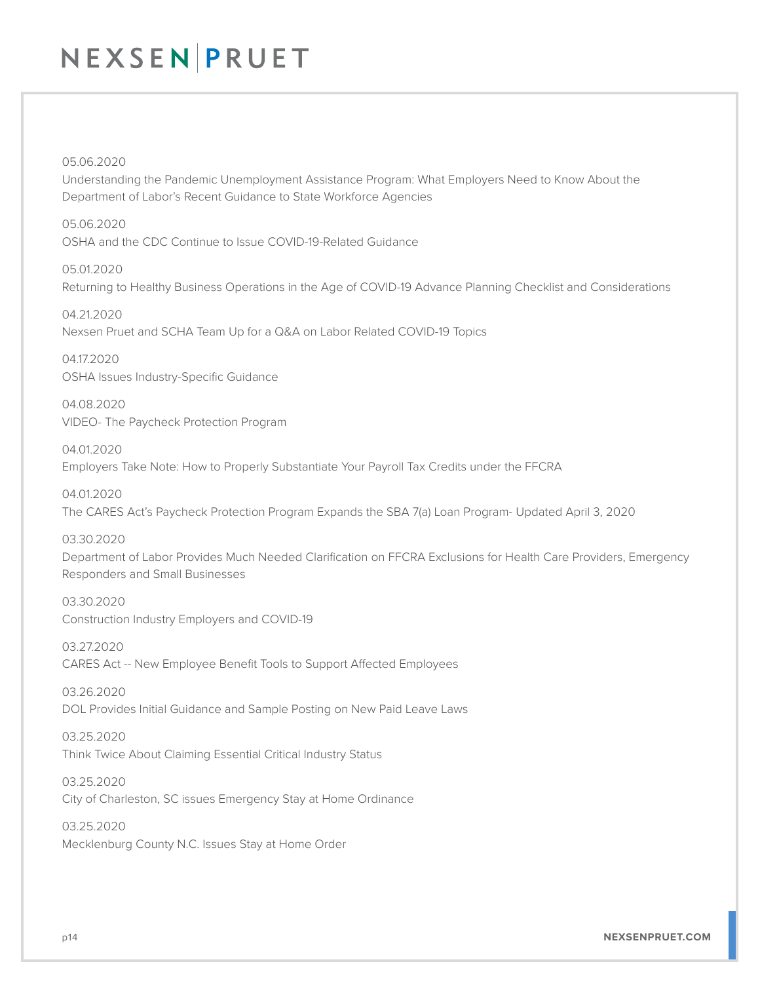#### 05.06.2020

Understanding the Pandemic Unemployment Assistance Program: What Employers Need to Know About the Department of Labor's Recent Guidance to State Workforce Agencies

05.06.2020 OSHA and the CDC Continue to Issue COVID-19-Related Guidance

05.01.2020 Returning to Healthy Business Operations in the Age of COVID-19 Advance Planning Checklist and Considerations

04.21.2020 Nexsen Pruet and SCHA Team Up for a Q&A on Labor Related COVID-19 Topics

04.17.2020 OSHA Issues Industry-Specific Guidance

04.08.2020 VIDEO- The Paycheck Protection Program

04.01.2020 Employers Take Note: How to Properly Substantiate Your Payroll Tax Credits under the FFCRA

04.01.2020 The CARES Act's Paycheck Protection Program Expands the SBA 7(a) Loan Program- Updated April 3, 2020

#### 03.30.2020

Department of Labor Provides Much Needed Clarification on FFCRA Exclusions for Health Care Providers, Emergency Responders and Small Businesses

03.30.2020 Construction Industry Employers and COVID-19

03.27.2020 CARES Act -- New Employee Benefit Tools to Support Affected Employees

03.26.2020 DOL Provides Initial Guidance and Sample Posting on New Paid Leave Laws

03.25.2020 Think Twice About Claiming Essential Critical Industry Status

03.25.2020 City of Charleston, SC issues Emergency Stay at Home Ordinance

03.25.2020 Mecklenburg County N.C. Issues Stay at Home Order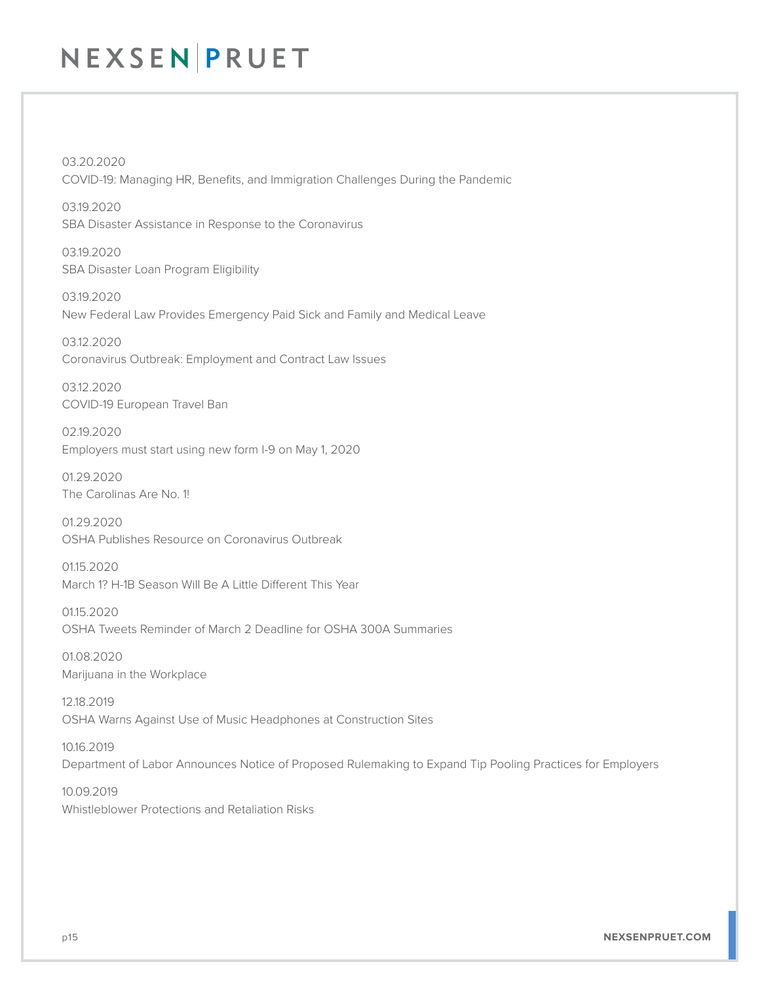03.20.2020 COVID-19: Managing HR, Benefits, and Immigration Challenges During the Pandemic

03.19.2020 SBA Disaster Assistance in Response to the Coronavirus

03.19.2020 SBA Disaster Loan Program Eligibility

03.19.2020 New Federal Law Provides Emergency Paid Sick and Family and Medical Leave

03.12.2020 Coronavirus Outbreak: Employment and Contract Law Issues

03.12.2020 COVID-19 European Travel Ban

02.19.2020 Employers must start using new form I-9 on May 1, 2020

01.29.2020 The Carolinas Are No. 1!

01.29.2020 OSHA Publishes Resource on Coronavirus Outbreak

01.15.2020 March 1? H-1B Season Will Be A Little Different This Year

01.15.2020 OSHA Tweets Reminder of March 2 Deadline for OSHA 300A Summaries

01.08.2020 Marijuana in the Workplace

12.18.2019 OSHA Warns Against Use of Music Headphones at Construction Sites

10.16.2019 Department of Labor Announces Notice of Proposed Rulemaking to Expand Tip Pooling Practices for Employers

10.09.2019 Whistleblower Protections and Retaliation Risks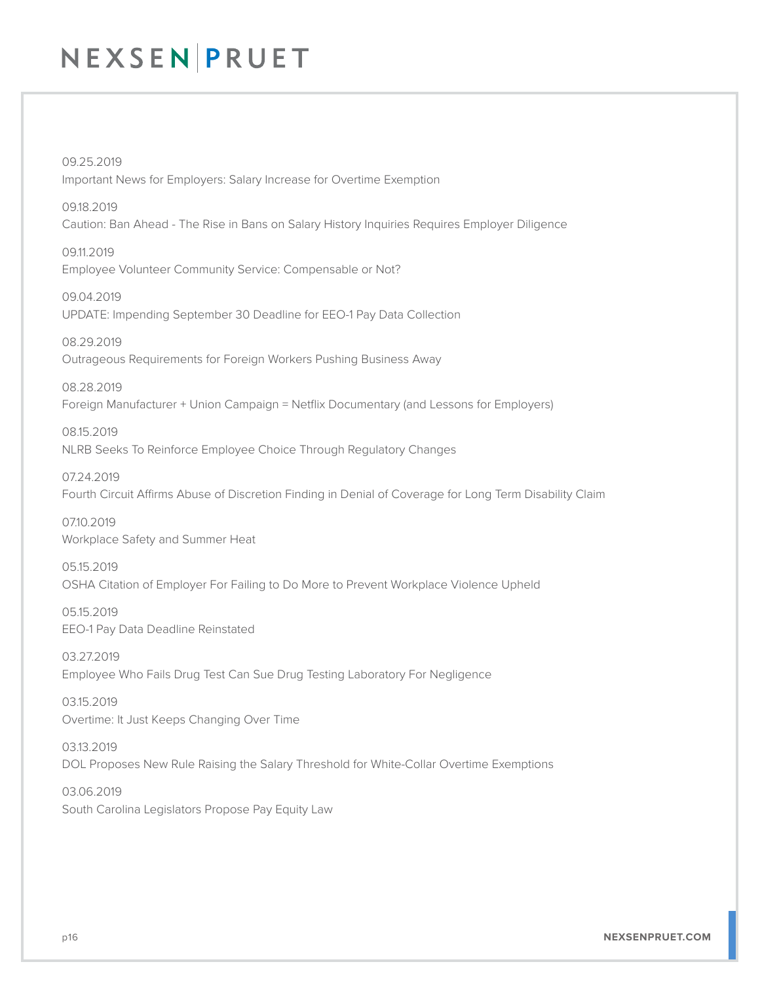09.25.2019 Important News for Employers: Salary Increase for Overtime Exemption

09.18.2019 Caution: Ban Ahead - The Rise in Bans on Salary History Inquiries Requires Employer Diligence

09.11.2019 Employee Volunteer Community Service: Compensable or Not?

09.04.2019 UPDATE: Impending September 30 Deadline for EEO-1 Pay Data Collection

08.29.2019 Outrageous Requirements for Foreign Workers Pushing Business Away

08.28.2019 Foreign Manufacturer + Union Campaign = Netflix Documentary (and Lessons for Employers)

08.15.2019 NLRB Seeks To Reinforce Employee Choice Through Regulatory Changes

07.24.2019 Fourth Circuit Affirms Abuse of Discretion Finding in Denial of Coverage for Long Term Disability Claim

07.10.2019 Workplace Safety and Summer Heat

05.15.2019 OSHA Citation of Employer For Failing to Do More to Prevent Workplace Violence Upheld

05.15.2019 EEO-1 Pay Data Deadline Reinstated

03.27.2019 Employee Who Fails Drug Test Can Sue Drug Testing Laboratory For Negligence

03.15.2019 Overtime: It Just Keeps Changing Over Time

03.13.2019 DOL Proposes New Rule Raising the Salary Threshold for White-Collar Overtime Exemptions

03.06.2019 South Carolina Legislators Propose Pay Equity Law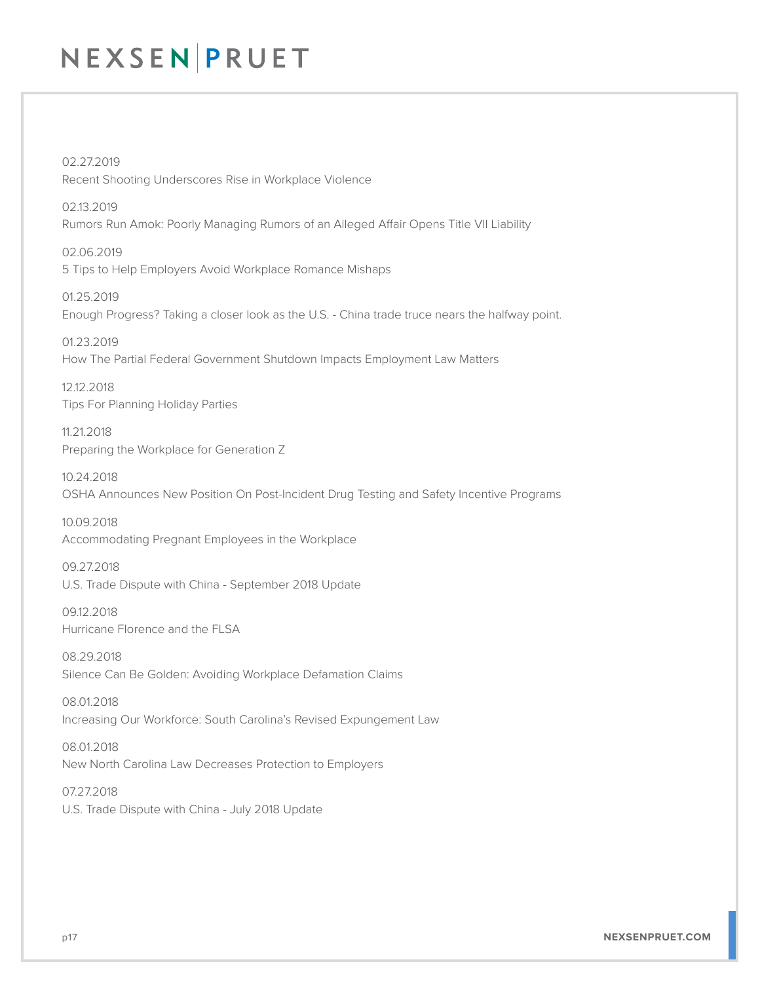02.27.2019 Recent Shooting Underscores Rise in Workplace Violence

02.13.2019 Rumors Run Amok: Poorly Managing Rumors of an Alleged Affair Opens Title VII Liability

02.06.2019 5 Tips to Help Employers Avoid Workplace Romance Mishaps

01.25.2019 Enough Progress? Taking a closer look as the U.S. - China trade truce nears the halfway point.

01.23.2019 How The Partial Federal Government Shutdown Impacts Employment Law Matters

12.12.2018 Tips For Planning Holiday Parties

11.21.2018 Preparing the Workplace for Generation Z

10.24.2018 OSHA Announces New Position On Post-Incident Drug Testing and Safety Incentive Programs

10.09.2018 Accommodating Pregnant Employees in the Workplace

09.27.2018 U.S. Trade Dispute with China - September 2018 Update

09.12.2018 Hurricane Florence and the FLSA

08.29.2018 Silence Can Be Golden: Avoiding Workplace Defamation Claims

08.01.2018 Increasing Our Workforce: South Carolina's Revised Expungement Law

08.01.2018 New North Carolina Law Decreases Protection to Employers

07.27.2018 U.S. Trade Dispute with China - July 2018 Update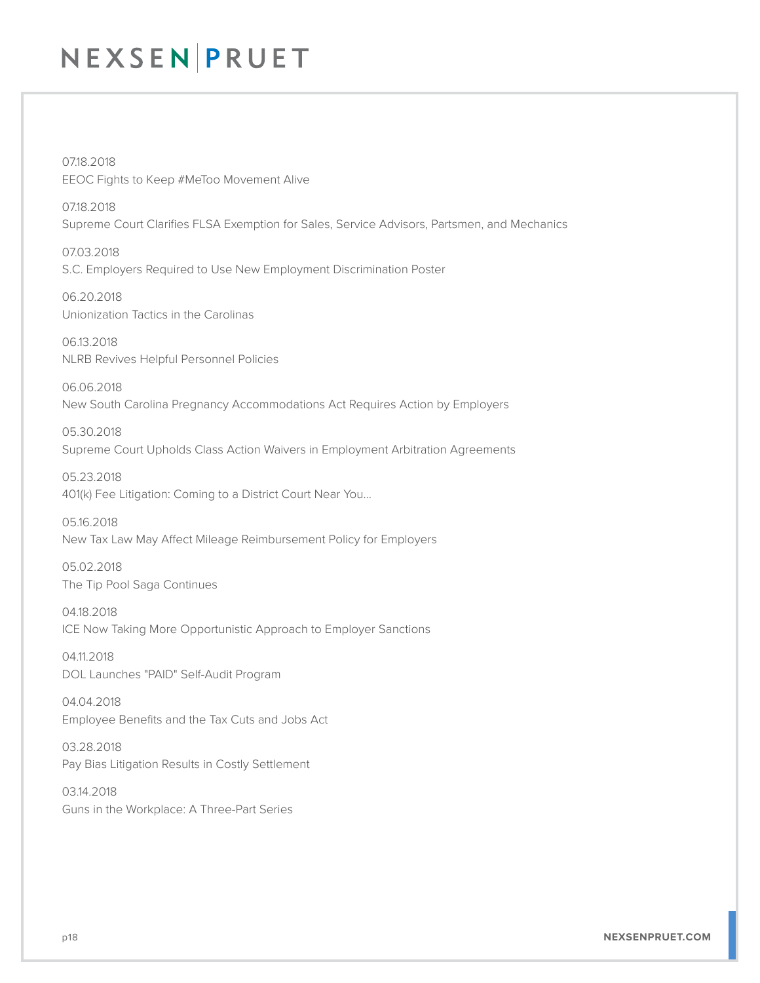07.18.2018 EEOC Fights to Keep #MeToo Movement Alive

07.18.2018 Supreme Court Clarifies FLSA Exemption for Sales, Service Advisors, Partsmen, and Mechanics

07.03.2018 S.C. Employers Required to Use New Employment Discrimination Poster

06.20.2018 Unionization Tactics in the Carolinas

06.13.2018 NLRB Revives Helpful Personnel Policies

06.06.2018 New South Carolina Pregnancy Accommodations Act Requires Action by Employers

05.30.2018 Supreme Court Upholds Class Action Waivers in Employment Arbitration Agreements

05.23.2018 401(k) Fee Litigation: Coming to a District Court Near You…

05.16.2018 New Tax Law May Affect Mileage Reimbursement Policy for Employers

05.02.2018 The Tip Pool Saga Continues

04.18.2018 ICE Now Taking More Opportunistic Approach to Employer Sanctions

04.11.2018 DOL Launches "PAID" Self-Audit Program

04.04.2018 Employee Benefits and the Tax Cuts and Jobs Act

03.28.2018 Pay Bias Litigation Results in Costly Settlement

03.14.2018 Guns in the Workplace: A Three-Part Series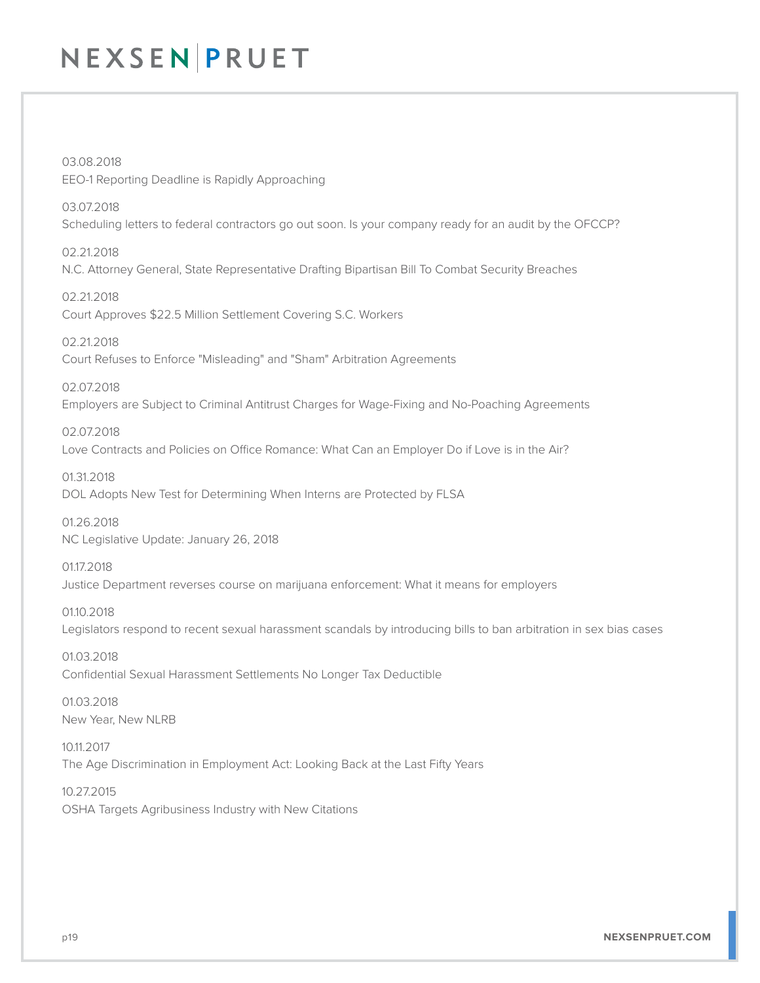03.08.2018 EEO-1 Reporting Deadline is Rapidly Approaching

03.07.2018 Scheduling letters to federal contractors go out soon. Is your company ready for an audit by the OFCCP?

02.21.2018 N.C. Attorney General, State Representative Drafting Bipartisan Bill To Combat Security Breaches

02.21.2018 Court Approves \$22.5 Million Settlement Covering S.C. Workers

02.21.2018 Court Refuses to Enforce "Misleading" and "Sham" Arbitration Agreements

02.07.2018 Employers are Subject to Criminal Antitrust Charges for Wage-Fixing and No-Poaching Agreements

02.07.2018 Love Contracts and Policies on Office Romance: What Can an Employer Do if Love is in the Air?

01.31.2018 DOL Adopts New Test for Determining When Interns are Protected by FLSA

01.26.2018 NC Legislative Update: January 26, 2018

01.17.2018 Justice Department reverses course on marijuana enforcement: What it means for employers

01.10.2018 Legislators respond to recent sexual harassment scandals by introducing bills to ban arbitration in sex bias cases

01.03.2018 Confidential Sexual Harassment Settlements No Longer Tax Deductible

01.03.2018 New Year, New NLRB

10.11.2017 The Age Discrimination in Employment Act: Looking Back at the Last Fifty Years

10.27.2015 OSHA Targets Agribusiness Industry with New Citations